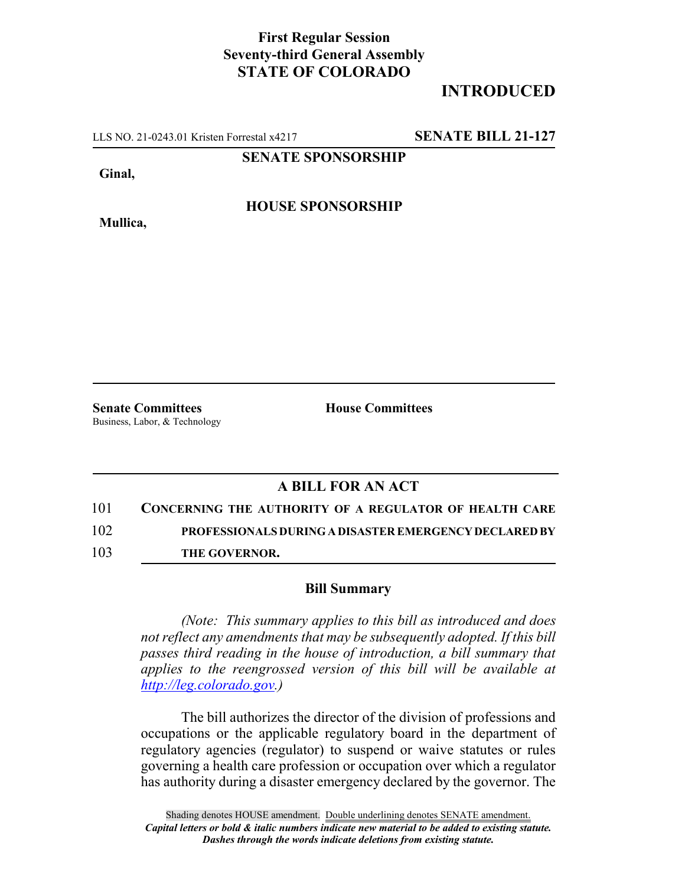## **First Regular Session Seventy-third General Assembly STATE OF COLORADO**

## **INTRODUCED**

LLS NO. 21-0243.01 Kristen Forrestal x4217 **SENATE BILL 21-127**

**SENATE SPONSORSHIP**

**Ginal,**

**HOUSE SPONSORSHIP**

**Mullica,**

**Senate Committees House Committees** Business, Labor, & Technology

## **A BILL FOR AN ACT**

101 **CONCERNING THE AUTHORITY OF A REGULATOR OF HEALTH CARE**

102 **PROFESSIONALS DURING A DISASTER EMERGENCY DECLARED BY**

103 **THE GOVERNOR.**

## **Bill Summary**

*(Note: This summary applies to this bill as introduced and does not reflect any amendments that may be subsequently adopted. If this bill passes third reading in the house of introduction, a bill summary that applies to the reengrossed version of this bill will be available at http://leg.colorado.gov.)*

The bill authorizes the director of the division of professions and occupations or the applicable regulatory board in the department of regulatory agencies (regulator) to suspend or waive statutes or rules governing a health care profession or occupation over which a regulator has authority during a disaster emergency declared by the governor. The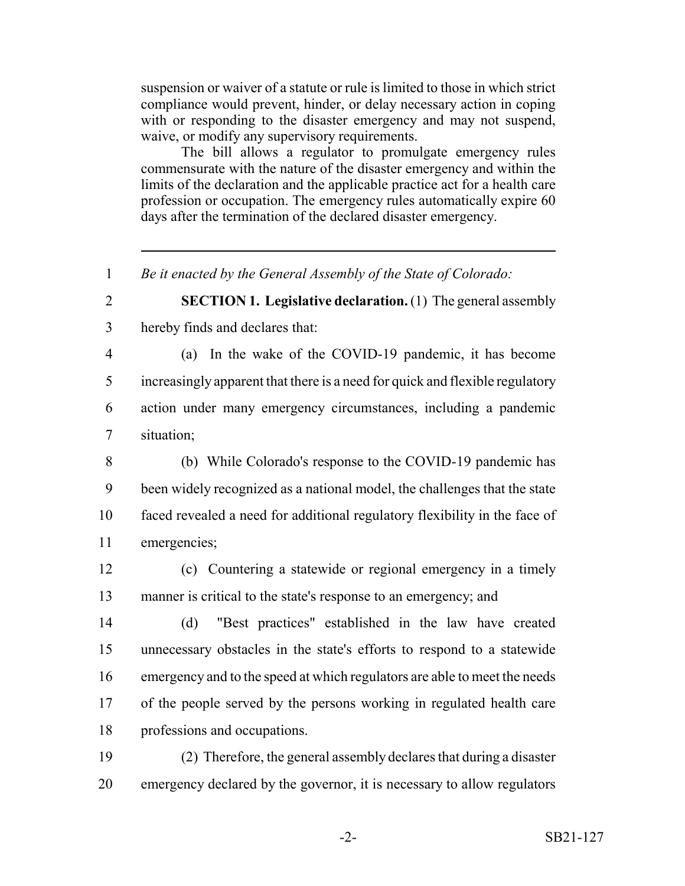suspension or waiver of a statute or rule is limited to those in which strict compliance would prevent, hinder, or delay necessary action in coping with or responding to the disaster emergency and may not suspend, waive, or modify any supervisory requirements.

The bill allows a regulator to promulgate emergency rules commensurate with the nature of the disaster emergency and within the limits of the declaration and the applicable practice act for a health care profession or occupation. The emergency rules automatically expire 60 days after the termination of the declared disaster emergency.

*Be it enacted by the General Assembly of the State of Colorado:*

 **SECTION 1. Legislative declaration.** (1) The general assembly hereby finds and declares that:

 (a) In the wake of the COVID-19 pandemic, it has become increasingly apparent that there is a need for quick and flexible regulatory action under many emergency circumstances, including a pandemic situation;

 (b) While Colorado's response to the COVID-19 pandemic has been widely recognized as a national model, the challenges that the state faced revealed a need for additional regulatory flexibility in the face of emergencies;

 (c) Countering a statewide or regional emergency in a timely manner is critical to the state's response to an emergency; and

 (d) "Best practices" established in the law have created unnecessary obstacles in the state's efforts to respond to a statewide emergency and to the speed at which regulators are able to meet the needs of the people served by the persons working in regulated health care professions and occupations.

 (2) Therefore, the general assembly declares that during a disaster emergency declared by the governor, it is necessary to allow regulators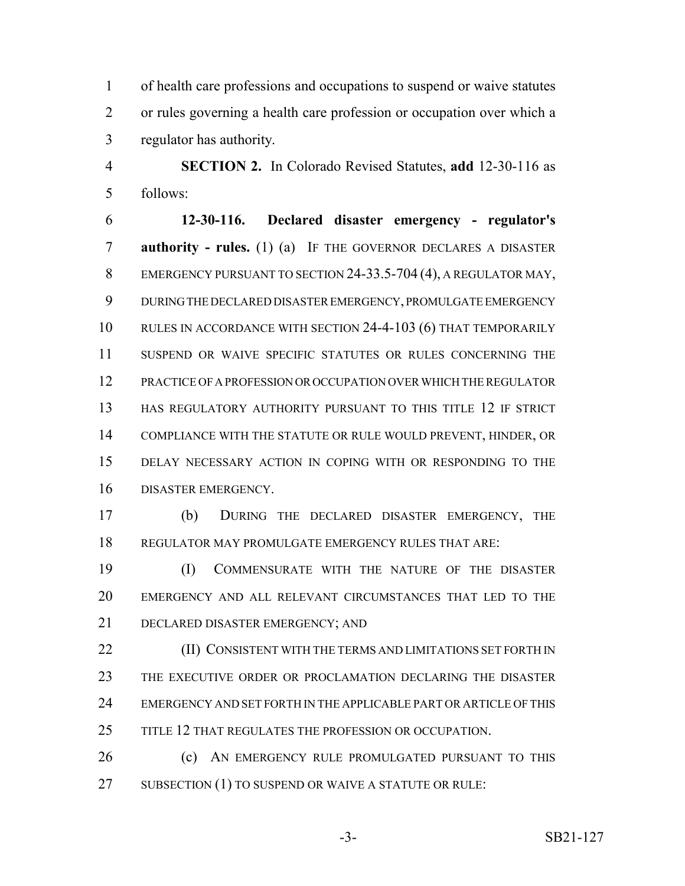of health care professions and occupations to suspend or waive statutes or rules governing a health care profession or occupation over which a regulator has authority.

 **SECTION 2.** In Colorado Revised Statutes, **add** 12-30-116 as follows:

 **12-30-116. Declared disaster emergency - regulator's authority - rules.** (1) (a) IF THE GOVERNOR DECLARES A DISASTER 8 EMERGENCY PURSUANT TO SECTION 24-33.5-704 (4), A REGULATOR MAY, DURING THE DECLARED DISASTER EMERGENCY, PROMULGATE EMERGENCY RULES IN ACCORDANCE WITH SECTION 24-4-103 (6) THAT TEMPORARILY SUSPEND OR WAIVE SPECIFIC STATUTES OR RULES CONCERNING THE PRACTICE OF A PROFESSION OR OCCUPATION OVER WHICH THE REGULATOR HAS REGULATORY AUTHORITY PURSUANT TO THIS TITLE 12 IF STRICT COMPLIANCE WITH THE STATUTE OR RULE WOULD PREVENT, HINDER, OR DELAY NECESSARY ACTION IN COPING WITH OR RESPONDING TO THE DISASTER EMERGENCY.

 (b) DURING THE DECLARED DISASTER EMERGENCY, THE REGULATOR MAY PROMULGATE EMERGENCY RULES THAT ARE:

 (I) COMMENSURATE WITH THE NATURE OF THE DISASTER EMERGENCY AND ALL RELEVANT CIRCUMSTANCES THAT LED TO THE DECLARED DISASTER EMERGENCY; AND

**(II) CONSISTENT WITH THE TERMS AND LIMITATIONS SET FORTH IN**  THE EXECUTIVE ORDER OR PROCLAMATION DECLARING THE DISASTER EMERGENCY AND SET FORTH IN THE APPLICABLE PART OR ARTICLE OF THIS 25 TITLE 12 THAT REGULATES THE PROFESSION OR OCCUPATION.

**(c)** AN EMERGENCY RULE PROMULGATED PURSUANT TO THIS 27 SUBSECTION (1) TO SUSPEND OR WAIVE A STATUTE OR RULE: